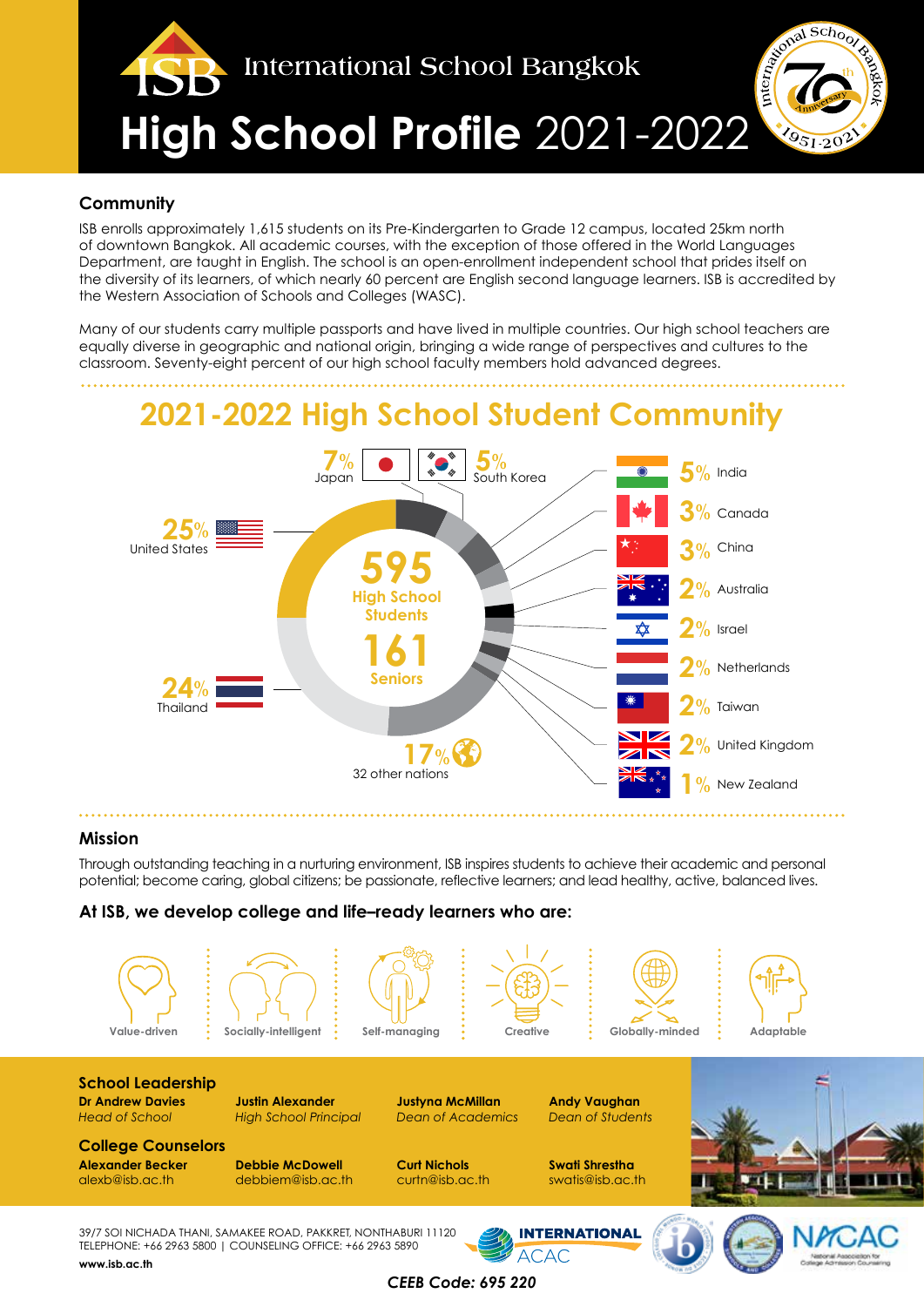

### **Community**

ISB enrolls approximately 1,615 students on its Pre-Kindergarten to Grade 12 campus, located 25km north of downtown Bangkok. All academic courses, with the exception of those offered in the World Languages Department, are taught in English. The school is an open-enrollment independent school that prides itself on the diversity of its learners, of which nearly 60 percent are English second language learners. ISB is accredited by the Western Association of Schools and Colleges (WASC).

Many of our students carry multiple passports and have lived in multiple countries. Our high school teachers are equally diverse in geographic and national origin, bringing a wide range of perspectives and cultures to the classroom. Seventy-eight percent of our high school faculty members hold advanced degrees.

# **2021-2022 High School Student Community**



### **Mission**

Through outstanding teaching in a nurturing environment, ISB inspires students to achieve their academic and personal potential; become caring, global citizens; be passionate, reflective learners; and lead healthy, active, balanced lives.

### **At ISB, we develop college and life–ready learners who are:**



**College Counselors Alexander Becker Debbie McDowell Curt Nichols Swati Shrestha**

**INTERNATIONAL** 

**ACAC** 



39/7 SOI NICHADA THANI, SAMAKEE ROAD, PAKKRET, NONTHABURI 11120 TELEPHONE: +66 2963 5800 | COUNSELING OFFICE: +66 2963 5890 **www.isb.ac.th**

debbiem@isb.ac.th

*CEEB Code: 695 220*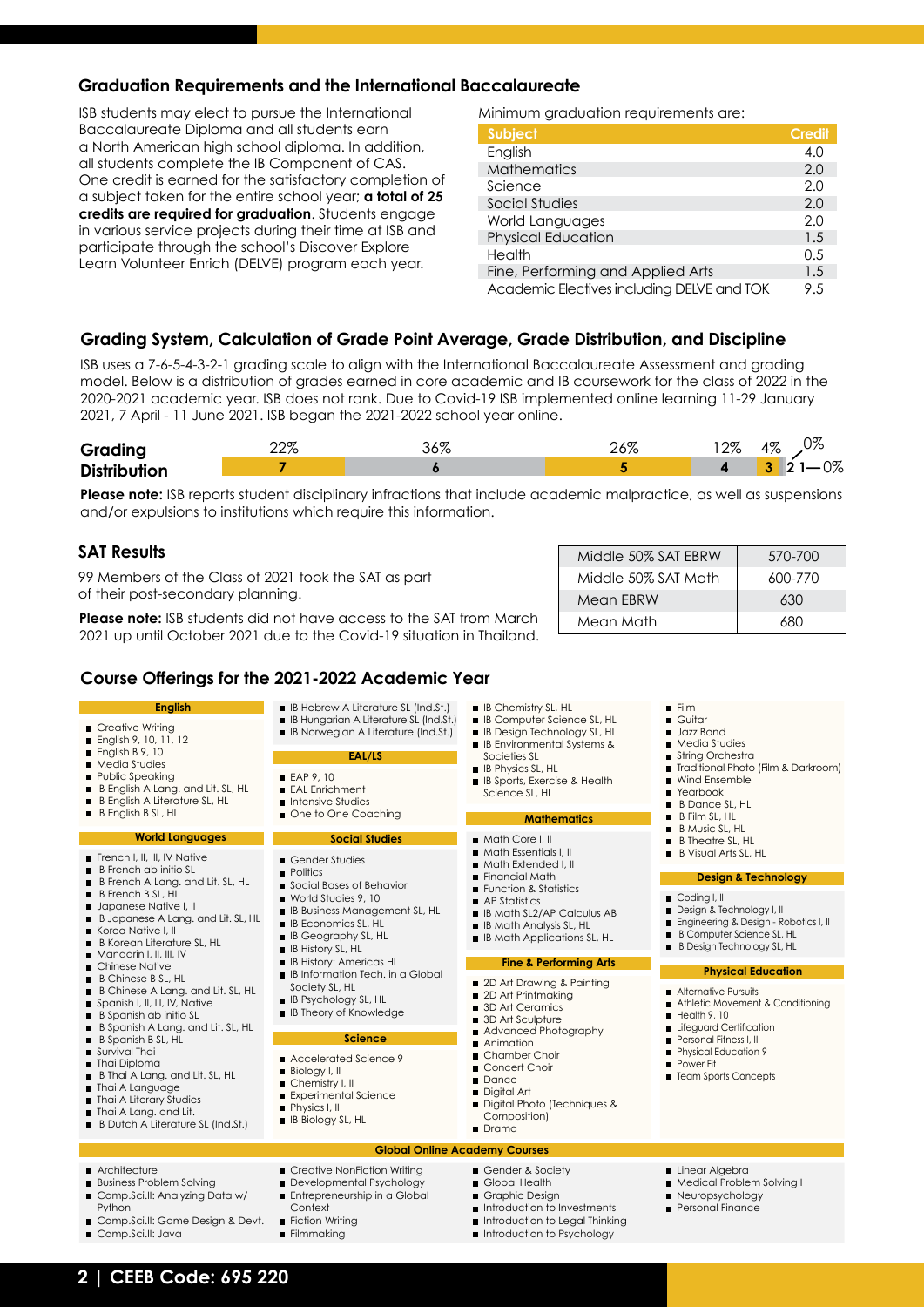### **Graduation Requirements and the International Baccalaureate**

ISB students may elect to pursue the International Baccalaureate Diploma and all students earn a North American high school diploma. In addition, all students complete the IB Component of CAS. One credit is earned for the satisfactory completion of a subject taken for the entire school year; **a total of 25 credits are required for graduation**. Students engage in various service projects during their time at ISB and participate through the school's Discover Explore Learn Volunteer Enrich (DELVE) program each year.

Minimum graduation requirements are:

| <b>Subject</b>                             | <b>Credit</b> |
|--------------------------------------------|---------------|
| English                                    | 4.0           |
| <b>Mathematics</b>                         | 2.0           |
| Science                                    | 2.0           |
| Social Studies                             | 2.0           |
| World Languages                            | 2.0           |
| <b>Physical Education</b>                  | 1.5           |
| Health                                     | 0.5           |
| Fine, Performing and Applied Arts          | 1.5           |
| Academic Electives including DELVE and TOK | 9.5           |

### **Grading System, Calculation of Grade Point Average, Grade Distribution, and Discipline**

ISB uses a 7-6-5-4-3-2-1 grading scale to align with the International Baccalaureate Assessment and grading model. Below is a distribution of grades earned in core academic and IB coursework for the class of 2022 in the 2020-2021 academic year. ISB does not rank. Due to Covid-19 ISB implemented online learning 11-29 January 2021, 7 April - 11 June 2021. ISB began the 2021-2022 school year online.

| Grading             | ററ | $\sigma$<br>r | $\overline{\phantom{a}}$ | റത<br>$\sqrt{c}$ | ∩ഗ<br>407<br>76 ل    |
|---------------------|----|---------------|--------------------------|------------------|----------------------|
| <b>Distribution</b> |    |               |                          |                  | $\sim$<br>$\sqrt{2}$ |

**Please note:** ISB reports student disciplinary infractions that include academic malpractice, as well as suspensions and/or expulsions to institutions which require this information.

### **SAT Results**

99 Members of the Class of 2021 took the SAT as part of their post-secondary planning.

**Please note:** ISB students did not have access to the SAT from March 2021 up until October 2021 due to the Covid-19 situation in Thailand.

| Middle 50% SAT EBRW | 570-700 |
|---------------------|---------|
| Middle 50% SAT Math | 600-770 |
| Mean EBRW           | 630     |
| Mean Math           | 680     |

### **Course Offerings for the 2021-2022 Academic Year**

| <b>English</b>                                                                                                                                                                                                                                                                                                                                                                                                                             | <b>B</b> IB Hebrew A Literature SL (Ind.St.)<br><b>B</b> IB Hungarian A Literature SL (Ind.St.)                                                                                                                                                                                                                                                                | <b>B</b> IB Chemistry SL, HL<br><b>B</b> Computer Science SL, HL                                                                                                                  | $\blacksquare$ Film<br>Guitar<br>■ Jazz Band<br>■ Media Studies                                                                                                   |  |  |  |
|--------------------------------------------------------------------------------------------------------------------------------------------------------------------------------------------------------------------------------------------------------------------------------------------------------------------------------------------------------------------------------------------------------------------------------------------|----------------------------------------------------------------------------------------------------------------------------------------------------------------------------------------------------------------------------------------------------------------------------------------------------------------------------------------------------------------|-----------------------------------------------------------------------------------------------------------------------------------------------------------------------------------|-------------------------------------------------------------------------------------------------------------------------------------------------------------------|--|--|--|
| ■ Creative Writing<br><b>English 9, 10, 11, 12</b><br>English $B$ 9, 10<br><b>Media Studies</b><br>Public Speaking<br><b>B</b> IB English A Lang, and Lit, SL, HL<br><b>B</b> IB English A Literature SL, HL<br><b>B</b> IB English B SL, HL                                                                                                                                                                                               | <b>B</b> IB Norwegian A Literature (Ind.St.)                                                                                                                                                                                                                                                                                                                   | <b>B</b> IB Design Technology SL, HL<br><b>B</b> IB Environmental Systems &                                                                                                       |                                                                                                                                                                   |  |  |  |
|                                                                                                                                                                                                                                                                                                                                                                                                                                            | EAL/LS                                                                                                                                                                                                                                                                                                                                                         | Societies SL<br><b>B</b> IB Physics SL, HL                                                                                                                                        | String Orchestra<br>Traditional Photo (Film & Darkroom)<br>■ Wind Ensemble<br>■ Yearbook<br><b>B</b> IB Dance SL, HL<br><b>B</b> IB Film SL, HL                   |  |  |  |
|                                                                                                                                                                                                                                                                                                                                                                                                                                            | EAP 9.10<br>EAL Enrichment<br>Intensive Studies<br>One to One Coaching                                                                                                                                                                                                                                                                                         | <b>B</b> IB Sports, Exercise & Health<br>Science SL, HL<br><b>Mathematics</b>                                                                                                     |                                                                                                                                                                   |  |  |  |
| <b>World Languages</b>                                                                                                                                                                                                                                                                                                                                                                                                                     | <b>Social Studies</b>                                                                                                                                                                                                                                                                                                                                          | Math Core I.II                                                                                                                                                                    | ■ IB Music SL, HL<br>$\blacksquare$ IB Theatre SL, HL                                                                                                             |  |  |  |
| French I. II. III. IV Native<br><b>B</b> French ab initio SL<br><b>B</b> IB French A Lang, and Lit, SL, HL<br><b>B</b> IB French B SL, HL<br>Japanese Native I. II<br><b>B</b> IB Japanese A Lang. and Lit. SL, HL<br>Korea Native I.II<br><b>B</b> IB Korean Literature SL, HL                                                                                                                                                            | Gender Studies<br><b>Politics</b>                                                                                                                                                                                                                                                                                                                              | $\blacksquare$ Math Essentials I, II<br>Math Extended I. II<br>Financial Math                                                                                                     | <b>B</b> IB Visual Arts SL, HL<br><b>Design &amp; Technology</b>                                                                                                  |  |  |  |
|                                                                                                                                                                                                                                                                                                                                                                                                                                            | Social Bases of Behavior<br>World Studies 9, 10<br><b>B</b> IB Business Management SL, HL<br><b>B</b> IB Economics SL, HL<br><b>B</b> IB Geography SL, HL<br><b>B</b> IB History SL, HL<br><b>B</b> IB History: Americas HL<br><b>B</b> IB Information Tech, in a Global<br>Society SL, HL<br><b>B</b> IB Psychology SL, HL<br><b>B</b> IB Theory of Knowledge | <b>Exercise Busines</b> Function & Statistics<br>AP Statistics<br><b>B</b> IB Math SL2/AP Calculus AB<br><b>B</b> IB Math Analysis SL, HL<br><b>B</b> IB Math Applications SL, HL | Coding I, II<br>Design & Technology I, II<br>Engineering & Design - Robotics I, II<br><b>B</b> IB Computer Science SL, HL<br><b>B</b> IB Design Technology SL, HL |  |  |  |
| Mandarin I. II. III. IV<br>■ Chinese Native                                                                                                                                                                                                                                                                                                                                                                                                |                                                                                                                                                                                                                                                                                                                                                                | <b>Fine &amp; Performing Arts</b>                                                                                                                                                 | <b>Physical Education</b>                                                                                                                                         |  |  |  |
| <b>B</b> IB Chinese B SL, HL<br><b>B</b> IB Chinese A Lang, and Lit, SL, HL<br>Spanish I, II, III, IV, Native<br><b>B</b> IB Spanish ab initio SL<br><b>B</b> IB Spanish A Lang. and Lit. SL, HL<br><b>B</b> IB Spanish B SL, HL<br>Survival Thai<br><b>Thai Diploma</b><br><b>B</b> IB Thai A Lang, and Lit, SL, HL<br>Thai A Language<br>Thai A Literary Studies<br>Thai A Lang, and Lit.<br><b>B</b> IB Dutch A Literature SL (Ind.St.) |                                                                                                                                                                                                                                                                                                                                                                | 2D Art Drawing & Painting<br>2D Art Printmaking<br>3D Art Ceramics<br>3D Art Sculpture<br>Advanced Photography<br>Animation                                                       | Alternative Pursuits<br>Athletic Movement & Conditioning<br>$H$ ealth 9, 10<br>Lifeguard Certification                                                            |  |  |  |
|                                                                                                                                                                                                                                                                                                                                                                                                                                            | <b>Science</b>                                                                                                                                                                                                                                                                                                                                                 |                                                                                                                                                                                   | Personal Fitness I, II                                                                                                                                            |  |  |  |
|                                                                                                                                                                                                                                                                                                                                                                                                                                            | Accelerated Science 9<br><b>Biology I, II</b><br>Chemistry I, II<br>Experimental Science<br>Physics I, II<br><b>B</b> IB Biology SL, HL                                                                                                                                                                                                                        | Chamber Choir<br>Concert Choir<br><b>Dance</b><br>Digital Art<br>Digital Photo (Techniques &<br>Composition)<br><b>Drama</b>                                                      | Physical Education 9<br>■ Power Fit<br><b>E</b> Team Sports Concepts                                                                                              |  |  |  |
| <b>Global Online Academy Courses</b>                                                                                                                                                                                                                                                                                                                                                                                                       |                                                                                                                                                                                                                                                                                                                                                                |                                                                                                                                                                                   |                                                                                                                                                                   |  |  |  |
| ■ Architecture<br><b>Business Problem Solving</b><br>Comp.Sci.II: Analyzing Data w/<br>Python<br>Comp.Sci.II: Game Design & Devt.<br>Comp.Sci.II: Java                                                                                                                                                                                                                                                                                     | Creative NonFiction Writing<br>Developmental Psychology<br>Entrepreneurship in a Global<br>Context<br>■ Fiction Writing<br>Filmmaking                                                                                                                                                                                                                          | Gender & Society<br>Global Health<br>Graphic Design<br>Introduction to Investments<br>Introduction to Legal Thinking<br>Introduction to Psychology                                | Linear Algebra<br>Medical Problem Solving I<br>Neuropsychology<br><b>Personal Finance</b>                                                                         |  |  |  |

## **2 | CEEB Code: 695 220**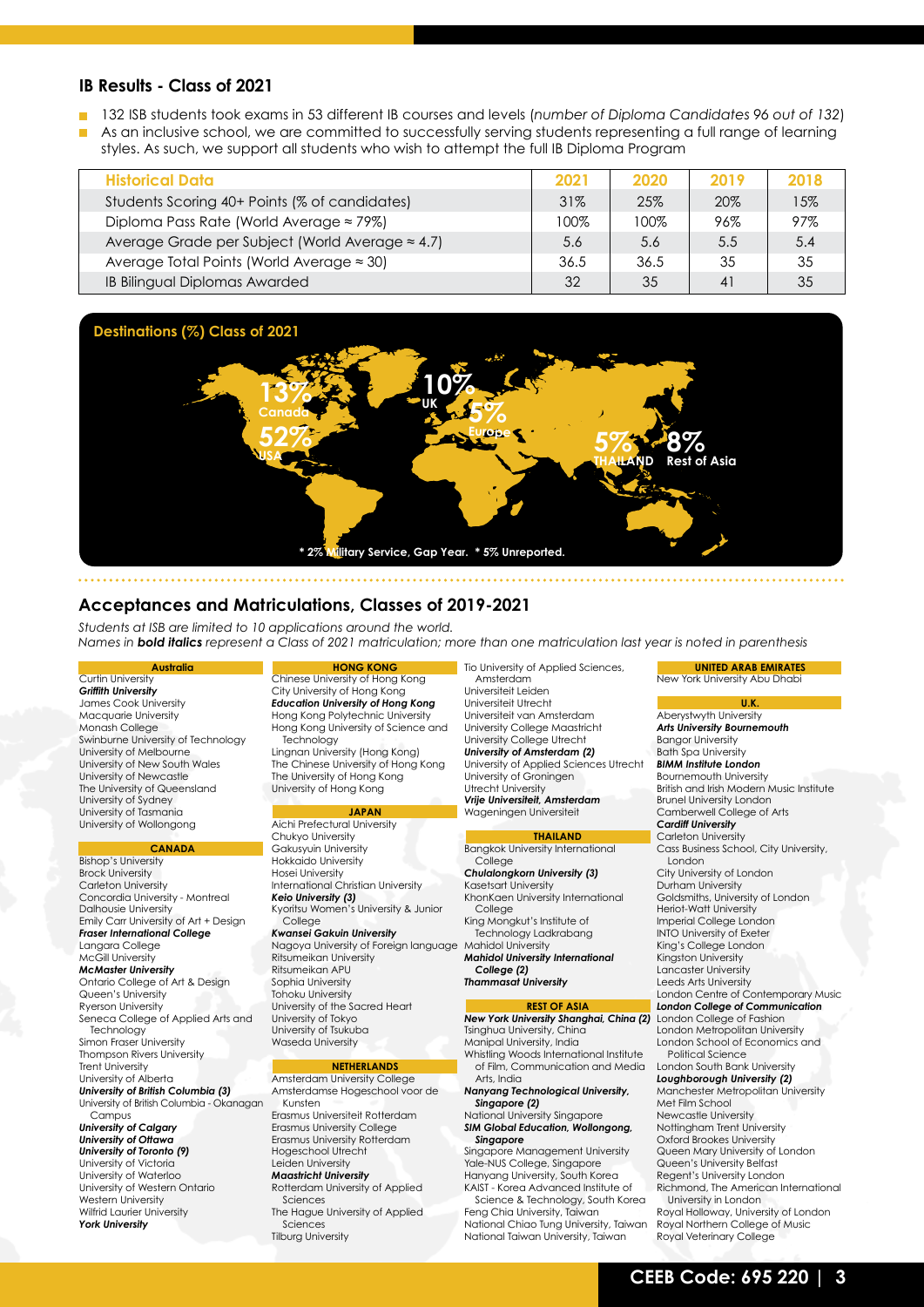### **IB Results - Class of 2021**

- 132 ISB students took exams in 53 different IB courses and levels (*number of Diploma Candidates 96 out of 132*)
- As an inclusive school, we are committed to successfully serving students representing a full range of learning styles. As such, we support all students who wish to attempt the full IB Diploma Program

| <b>Historical Data</b>                            | 2021 | 2020 | 2019           | 2018 |
|---------------------------------------------------|------|------|----------------|------|
| Students Scoring 40+ Points (% of candidates)     | 31%  | 25%  | 20%            | 15%  |
| Diploma Pass Rate (World Average $\approx$ 79%)   | 100% | 100% | 96%            | 97%  |
| Average Grade per Subject (World Average ≈ 4.7)   | 5.6  | 5.6  | $5.5^{\circ}$  | 5.4  |
| Average Total Points (World Average $\approx$ 30) | 36.5 | 36.5 | 35             | 35   |
| <b>IB Bilingual Diplomas Awarded</b>              | 32   | 35   | 4 <sup>1</sup> | 35   |



### **Acceptances and Matriculations, Classes of 2019-2021**

*Students at ISB are limited to 10 applications around the world. Names in bold italics represent a Class of 2021 matriculation; more than one matriculation last year is noted in parenthesis*

#### **Australia** Curtin University

*Griffith University* James Cook University Macquarie University Monash College Swinburne University of Technology University of Melbourne University of New South Wales University of Newcastle The University of Queensland University of Sydney University of Tasmania University of Wollongong

### **CANADA**

Bishop's University Brock University Carleton University Concordia University - Montreal Dalhousie University Emily Carr University of Art + Design *Fraser International College* Langara College McGill University *McMaster University* Ontario College of Art & Design Queen's University Ryerson University Seneca College of Applied Arts and Technology Simon Fraser University Thompson Rivers University Trent University University of Alberta *University of British Columbia (3)* University of British Columbia - Okanagan Campus

*University of Calgary University of Ottawa University of Toronto (9)* University of Victoria

University of Waterloo University of Western Ontario Western University Wilfrid Laurier University *York University*

#### **HONG KONG**

Chinese University of Hong Kong City University of Hong Kong *Education University of Hong Kong* Hong Kong Polytechnic University Hong Kong University of Science and Technology Lingnan University (Hong Kong) The Chinese University of Hong Kong The University of Hong Kong University of Hong Kong

### **JAPAN**

Aichi Prefectural University

Chukyo University Gakusyuin University Hokkaido University Hosei University International Christian University *Keio University (3)* Kyoritsu Women's University & Junior

College *Kwansei Gakuin University* Nagoya University of Foreign language Ritsumeikan University Ritsumeikan APU Sophia University Tohoku University University of the Sacred Heart University of Tokyo University of Tsukuba

### **NETHERLANDS**

Waseda University

Amsterdam University College Amsterdamse Hogeschool voor de Kunsten Erasmus Universiteit Rotterdam

Erasmus University College Erasmus University Rotterdam Hogeschool Utrecht Leiden University *Maastricht University*

- Rotterdam University of Applied Sciences The Hague University of Applied
- Sciences

Tilburg University

Tio University of Applied Sciences, Amsterdam Universiteit Leiden Universiteit Utrecht Universiteit van Amsterdam University College Maastricht

University College Utrecht *University of Amsterdam (2)* University of Applied Sciences Utrecht University of Groningen Utrecht University *Vrije Universiteit, Amsterdam* Wageningen Universiteit

#### **THAILAND**

Bangkok University International **College** *Chulalongkorn University (3)*

Kasetsart University KhonKaen University International **College** 

King Mongkut's Institute of Technology Ladkrabang Mahidol University

*Mahidol University International College (2) Thammasat University*

**REST OF ASIA** *New York University Shanghai, China (2)* London College of Fashion

Tsinghua University, China Manipal University, India Whistling Woods International Institute of Film, Communication and Media Arts, India *Nanyang Technological University,* 

*Singapore (2)* National University Singapore

#### *SIM Global Education, Wollongong, Singapore*

Singapore Management University Yale-NUS College, Singapore Hanyang University, South Korea KAIST - Korea Advanced Institute of

Science & Technology, South Korea Feng Chia University, Taiwan National Chiao Tung University, Taiwan National Taiwan University, Taiwan

New York University Abu Dhabi

**UNITED ARAB EMIRATES**

#### **U.K.** Aberystwyth University

*Arts University Bournemouth* Bangor University

#### Bath Spa University *BIMM Institute London*

Bournemouth University British and Irish Modern Music Institute Brunel University London Camberwell College of Arts

### *Cardiff University*

- Carleton University Cass Business School, City University, London
- City University of London
- Durham University Goldsmiths, University of London
- Heriot-Watt University
- Imperial College London
- INTO University of Exeter
- King's College London
- Kingston University Lancaster University
- Leeds Arts University
- London Centre of Contemporary Music
- *London College of Communication*
- London Metropolitan University
- London School of Economics and Political Science

#### London South Bank University *Loughborough University (2)*

Manchester Metropolitan University Met Film School Newcastle University Nottingham Trent University Oxford Brookes University Queen Mary University of London Queen's University Belfast Regent's University London Richmond, The American International

University in London Royal Holloway, University of London Royal Northern College of Music Royal Veterinary College